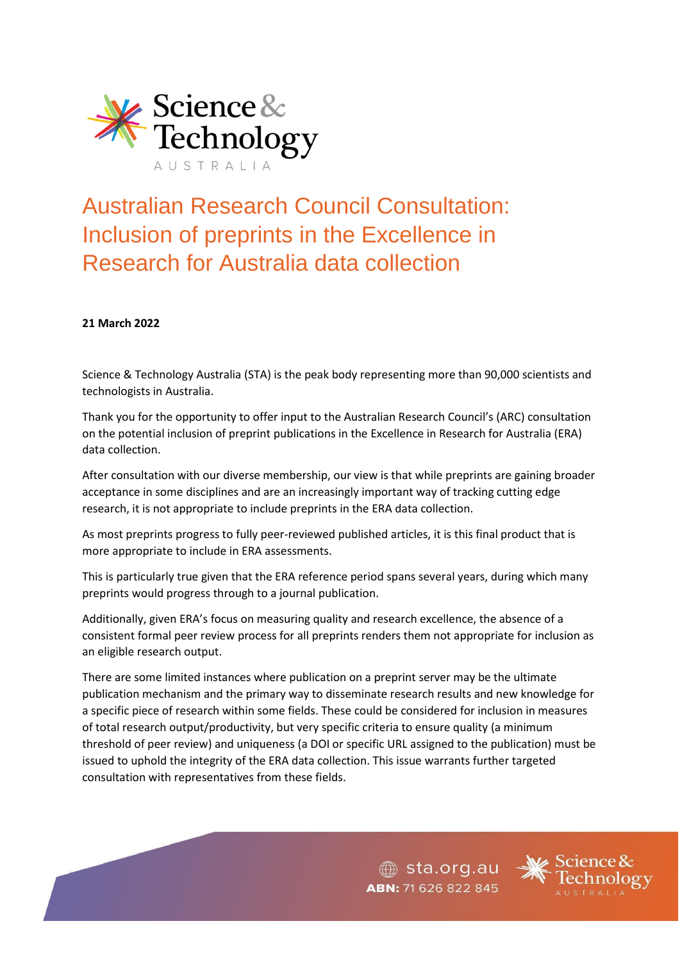

# Australian Research Council Consultation: Inclusion of preprints in the Excellence in Research for Australia data collection

#### **21 March 2022**

Science & Technology Australia (STA) is the peak body representing more than 90,000 scientists and technologists in Australia.

Thank you for the opportunity to offer input to the Australian Research Council's (ARC) consultation on the potential inclusion of preprint publications in the Excellence in Research for Australia (ERA) data collection.

After consultation with our diverse membership, our view is that while preprints are gaining broader acceptance in some disciplines and are an increasingly important way of tracking cutting edge research, it is not appropriate to include preprints in the ERA data collection.

As most preprints progress to fully peer-reviewed published articles, it is this final product that is more appropriate to include in ERA assessments.

This is particularly true given that the ERA reference period spans several years, during which many preprints would progress through to a journal publication.

Additionally, given ERA's focus on measuring quality and research excellence, the absence of a consistent formal peer review process for all preprints renders them not appropriate for inclusion as an eligible research output.

There are some limited instances where publication on a preprint server may be the ultimate publication mechanism and the primary way to disseminate research results and new knowledge for a specific piece of research within some fields. These could be considered for inclusion in measures of total research output/productivity, but very specific criteria to ensure quality (a minimum threshold of peer review) and uniqueness (a DOI or specific URL assigned to the publication) must be issued to uphold the integrity of the ERA data collection. This issue warrants further targeted consultation with representatives from these fields.

> sta.org.au ABN: 71 626 822 845

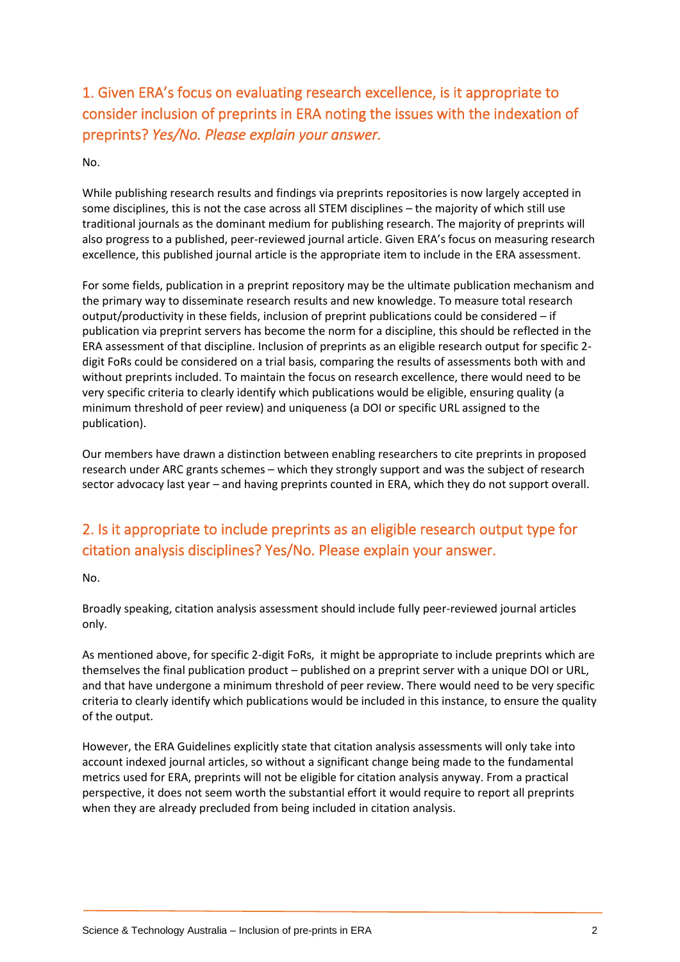## 1. Given ERA's focus on evaluating research excellence, is it appropriate to consider inclusion of preprints in ERA noting the issues with the indexation of preprints? *Yes/No. Please explain your answer.*

No.

While publishing research results and findings via preprints repositories is now largely accepted in some disciplines, this is not the case across all STEM disciplines – the majority of which still use traditional journals as the dominant medium for publishing research. The majority of preprints will also progress to a published, peer-reviewed journal article. Given ERA's focus on measuring research excellence, this published journal article is the appropriate item to include in the ERA assessment.

For some fields, publication in a preprint repository may be the ultimate publication mechanism and the primary way to disseminate research results and new knowledge. To measure total research output/productivity in these fields, inclusion of preprint publications could be considered – if publication via preprint servers has become the norm for a discipline, this should be reflected in the ERA assessment of that discipline. Inclusion of preprints as an eligible research output for specific 2 digit FoRs could be considered on a trial basis, comparing the results of assessments both with and without preprints included. To maintain the focus on research excellence, there would need to be very specific criteria to clearly identify which publications would be eligible, ensuring quality (a minimum threshold of peer review) and uniqueness (a DOI or specific URL assigned to the publication).

Our members have drawn a distinction between enabling researchers to cite preprints in proposed research under ARC grants schemes – which they strongly support and was the subject of research sector advocacy last year – and having preprints counted in ERA, which they do not support overall.

### 2. Is it appropriate to include preprints as an eligible research output type for citation analysis disciplines? Yes/No. Please explain your answer.

No.

Broadly speaking, citation analysis assessment should include fully peer-reviewed journal articles only.

As mentioned above, for specific 2-digit FoRs, it might be appropriate to include preprints which are themselves the final publication product – published on a preprint server with a unique DOI or URL, and that have undergone a minimum threshold of peer review. There would need to be very specific criteria to clearly identify which publications would be included in this instance, to ensure the quality of the output.

However, the ERA Guidelines explicitly state that citation analysis assessments will only take into account indexed journal articles, so without a significant change being made to the fundamental metrics used for ERA, preprints will not be eligible for citation analysis anyway. From a practical perspective, it does not seem worth the substantial effort it would require to report all preprints when they are already precluded from being included in citation analysis.